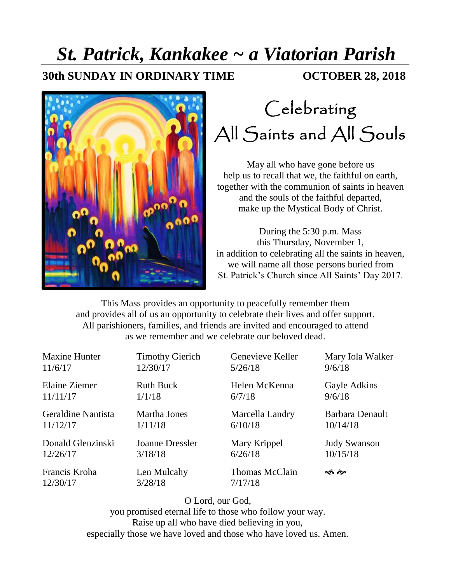## *St. Patrick, Kankakee ~ a Viatorian Parish*

**30th SUNDAY IN ORDINARY TIME OCTOBER 28, 2018**



## Celebrating All Saints and All Souls

May all who have gone before us help us to recall that we, the faithful on earth, together with the communion of saints in heaven and the souls of the faithful departed, make up the Mystical Body of Christ.

During the 5:30 p.m. Mass this Thursday, November 1, in addition to celebrating all the saints in heaven, we will name all those persons buried from St. Patrick's Church since All Saints' Day 2017.

This Mass provides an opportunity to peacefully remember them and provides all of us an opportunity to celebrate their lives and offer support. All parishioners, families, and friends are invited and encouraged to attend as we remember and we celebrate our beloved dead.

| <b>Maxine Hunter</b> | <b>Timothy Gierich</b> | Genevieve Keller | Mary Iola Walker    |
|----------------------|------------------------|------------------|---------------------|
| 11/6/17              | 12/30/17               | 5/26/18          | 9/6/18              |
| Elaine Ziemer        | <b>Ruth Buck</b>       | Helen McKenna    | Gayle Adkins        |
| 11/11/17             | 1/1/18                 | 6/7/18           | 9/6/18              |
| Geraldine Nantista   | Martha Jones           | Marcella Landry  | Barbara Denault     |
| 11/12/17             | 1/11/18                | 6/10/18          | 10/14/18            |
| Donald Glenzinski    | Joanne Dressler        | Mary Krippel     | <b>Judy Swanson</b> |
| 12/26/17             | 3/18/18                | 6/26/18          | 10/15/18            |
| Francis Kroha        | Len Mulcahy            | Thomas McClain   | ≪ট ∕ি≥              |
| 12/30/17             | 3/28/18                | 7/17/18          |                     |

O Lord, our God,

you promised eternal life to those who follow your way. Raise up all who have died believing in you, especially those we have loved and those who have loved us. Amen.